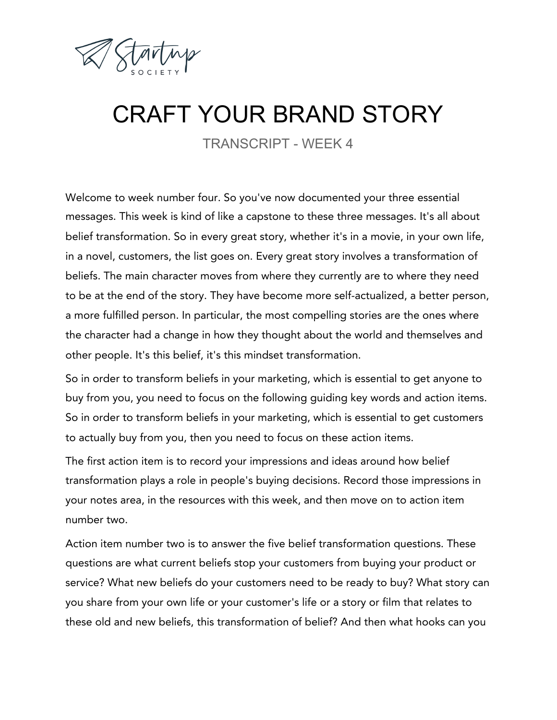

## CRAFT YOUR BRAND STORY

TRANSCRIPT - WEEK 4

Welcome to week number four. So you've now documented your three essential messages. This week is kind of like a capstone to these three messages. It's all about belief transformation. So in every great story, whether it's in a movie, in your own life, in a novel, customers, the list goes on. Every great story involves a transformation of beliefs. The main character moves from where they currently are to where they need to be at the end of the story. They have become more self-actualized, a better person, a more fulfilled person. In particular, the most compelling stories are the ones where the character had a change in how they thought about the world and themselves and other people. It's this belief, it's this mindset transformation.

So in order to transform beliefs in your marketing, which is essential to get anyone to buy from you, you need to focus on the following guiding key words and action items. So in order to transform beliefs in your marketing, which is essential to get customers to actually buy from you, then you need to focus on these action items.

The first action item is to record your impressions and ideas around how belief transformation plays a role in people's buying decisions. Record those impressions in your notes area, in the resources with this week, and then move on to action item number two.

Action item number two is to answer the five belief transformation questions. These questions are what current beliefs stop your customers from buying your product or service? What new beliefs do your customers need to be ready to buy? What story can you share from your own life or your customer's life or a story or film that relates to these old and new beliefs, this transformation of belief? And then what hooks can you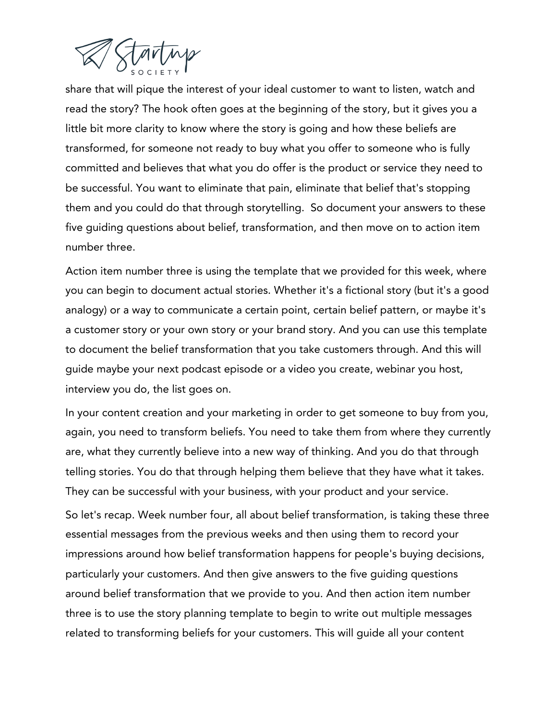

share that will pique the interest of your ideal customer to want to listen, watch and read the story? The hook often goes at the beginning of the story, but it gives you a little bit more clarity to know where the story is going and how these beliefs are transformed, for someone not ready to buy what you offer to someone who is fully committed and believes that what you do offer is the product or service they need to be successful. You want to eliminate that pain, eliminate that belief that's stopping them and you could do that through storytelling. So document your answers to these five guiding questions about belief, transformation, and then move on to action item number three.

Action item number three is using the template that we provided for this week, where you can begin to document actual stories. Whether it's a fictional story (but it's a good analogy) or a way to communicate a certain point, certain belief pattern, or maybe it's a customer story or your own story or your brand story. And you can use this template to document the belief transformation that you take customers through. And this will guide maybe your next podcast episode or a video you create, webinar you host, interview you do, the list goes on.

In your content creation and your marketing in order to get someone to buy from you, again, you need to transform beliefs. You need to take them from where they currently are, what they currently believe into a new way of thinking. And you do that through telling stories. You do that through helping them believe that they have what it takes. They can be successful with your business, with your product and your service.

So let's recap. Week number four, all about belief transformation, is taking these three essential messages from the previous weeks and then using them to record your impressions around how belief transformation happens for people's buying decisions, particularly your customers. And then give answers to the five guiding questions around belief transformation that we provide to you. And then action item number three is to use the story planning template to begin to write out multiple messages related to transforming beliefs for your customers. This will guide all your content